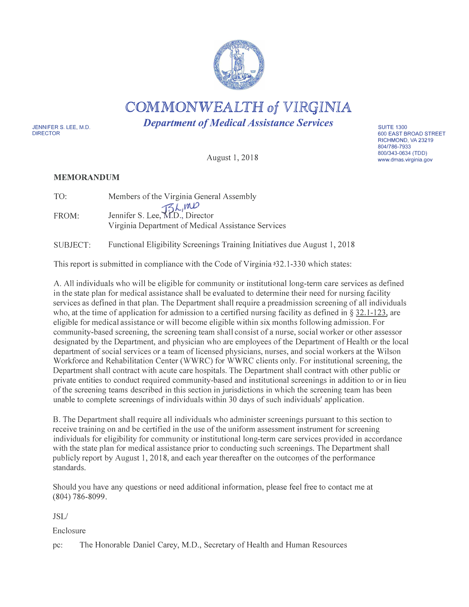

COMMONWEALTH of VIRGINIA

*Department of Medical Assistance Services* 

JENNIFER S. LEE, M.D. DIRECTOR

August 1, 2018

#### **MEMORANDUM**

| TO:   | Members of the Virginia General Assembly                                                                                      |
|-------|-------------------------------------------------------------------------------------------------------------------------------|
| FROM: | Jennifer S. Lee, $\mathcal{H}_{D,\mathcal{D}}^{\mathcal{L}}$ , Director<br>Virginia Department of Medical Assistance Services |
|       |                                                                                                                               |

SUBJECT: Functional Eligibility Screenings Training Initiatives due August 1, 2018

This report is submitted in compliance with the Code of Virginia �32.1-330 which states:

A. All individuals who will be eligible for community or institutional long-term care services as defined in the state plan for medical assistance shall be evaluated to determine their need for nursing facility services as defined in that plan. The Department shall require a preadmission screening of all individuals who, at the time of application for admission to a certified nursing facility as defined in  $\S$  32.1-123, are eligible for medical assistance or will become eligible within six months following admission. For community-based screening, the screening team shall consist of a nurse, social worker or other assessor designated by the Department, and physician who are employees of the Department of Health or the local department of social services or a team of licensed physicians, nurses, and social workers at the Wilson Workforce and Rehabilitation Center (WWRC) for WWRC clients only. For institutional screening, the Department shall contract with acute care hospitals. The Department shall contract with other public or private entities to conduct required community-based and institutional screenings in addition to or in lieu of the screening teams described in this section in jurisdictions in which the screening team has been unable to complete screenings of individuals within 30 days of such individuals' application.

B. The Department shall require all individuals who administer screenings pursuant to this section to receive training on and be certified in the use of the uniform assessment instrument for screening individuals for eligibility for community or institutional long-term care services provided in accordance with the state plan for medical assistance prior to conducting such screenings. The Department shall publicly report by August 1, 2018, and each year thereafter on the outcomes of the performance standards.

Should you have any questions or need additional information, please feel free to contact me at (804) 786-8099.

JSL/

Enclosure

pc: The Honorable Daniel Carey, M.D., Secretary of Health and Human Resources

**SUITE 1300** 600 EAST BROAD STREET RICHMOND, VA 23219 804/786-7933 800/343-0634 (TDD) www.dmas.virginia.gov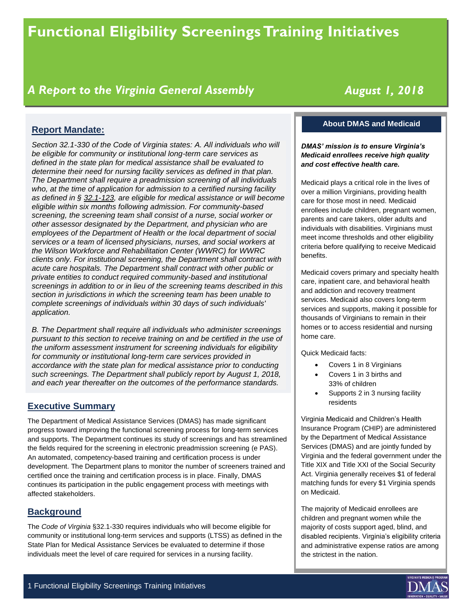# **Functional Eligibility Screenings Training Initiatives**

# *A Report to the Virginia General Assembly*

# *August 1, 2018*

## **Report Mandate:**

*Section 32.1-330 of the Code of Virginia states: A. All individuals who will be eligible for community or institutional long-term care services as defined in the state plan for medical assistance shall be evaluated to determine their need for nursing facility services as defined in that plan. The Department shall require a preadmission screening of all individuals who, at the time of application for admission to a certified nursing facility as defined in § 32.1-123, are eligible for medical assistance or will become eligible within six months following admission. For community-based screening, the screening team shall consist of a nurse, social worker or other assessor designated by the Department, and physician who are employees of the Department of Health or the local department of social services or a team of licensed physicians, nurses, and social workers at the Wilson Workforce and Rehabilitation Center (WWRC) for WWRC clients only. For institutional screening, the Department shall contract with acute care hospitals. The Department shall contract with other public or private entities to conduct required community-based and institutional screenings in addition to or in lieu of the screening teams described in this section in jurisdictions in which the screening team has been unable to complete screenings of individuals within 30 days of such individuals' application.*

*B. The Department shall require all individuals who administer screenings pursuant to this section to receive training on and be certified in the use of the uniform assessment instrument for screening individuals for eligibility for community or institutional long-term care services provided in accordance with the state plan for medical assistance prior to conducting such screenings. The Department shall publicly report by August 1, 2018, and each year thereafter on the outcomes of the performance standards.*

#### **Executive Summary**

The Department of Medical Assistance Services (DMAS) has made significant progress toward improving the functional screening process for long-term services and supports. The Department continues its study of screenings and has streamlined the fields required for the screening in electronic preadmission screening (e PAS). An automated, competency-based training and certification process is under development. The Department plans to monitor the number of screeners trained and certified once the training and certification process is in place. Finally, DMAS continues its participation in the public engagement process with meetings with affected stakeholders.

#### **Background**

The *Code of Virginia* §32.1-330 requires individuals who will become eligible for community or institutional long-term services and supports (LTSS) as defined in the State Plan for Medical Assistance Services be evaluated to determine if those individuals meet the level of care required for services in a nursing facility.

#### **About DMAS and Medicaid**

#### *DMAS' mission is to ensure Virginia's Medicaid enrollees receive high quality and cost effective health care.*

Medicaid plays a critical role in the lives of over a million Virginians, providing health care for those most in need. Medicaid enrollees include children, pregnant women, parents and care takers, older adults and individuals with disabilities. Virginians must meet income thresholds and other eligibility criteria before qualifying to receive Medicaid benefits.

Medicaid covers primary and specialty health care, inpatient care, and behavioral health and addiction and recovery treatment services. Medicaid also covers long-term services and supports, making it possible for thousands of Virginians to remain in their homes or to access residential and nursing home care.

Quick Medicaid facts:

- Covers 1 in 8 Virginians
- Covers 1 in 3 births and 33% of children
- Supports 2 in 3 nursing facility residents

Virginia Medicaid and Children's Health Insurance Program (CHIP) are administered by the Department of Medical Assistance Services (DMAS) and are jointly funded by Virginia and the federal government under the Title XIX and Title XXI of the Social Security Act. Virginia generally receives \$1 of federal matching funds for every \$1 Virginia spends on Medicaid.

The majority of Medicaid enrollees are children and pregnant women while the majority of costs support aged, blind, and disabled recipients. Virginia's eligibility criteria and administrative expense ratios are among the strictest in the nation.